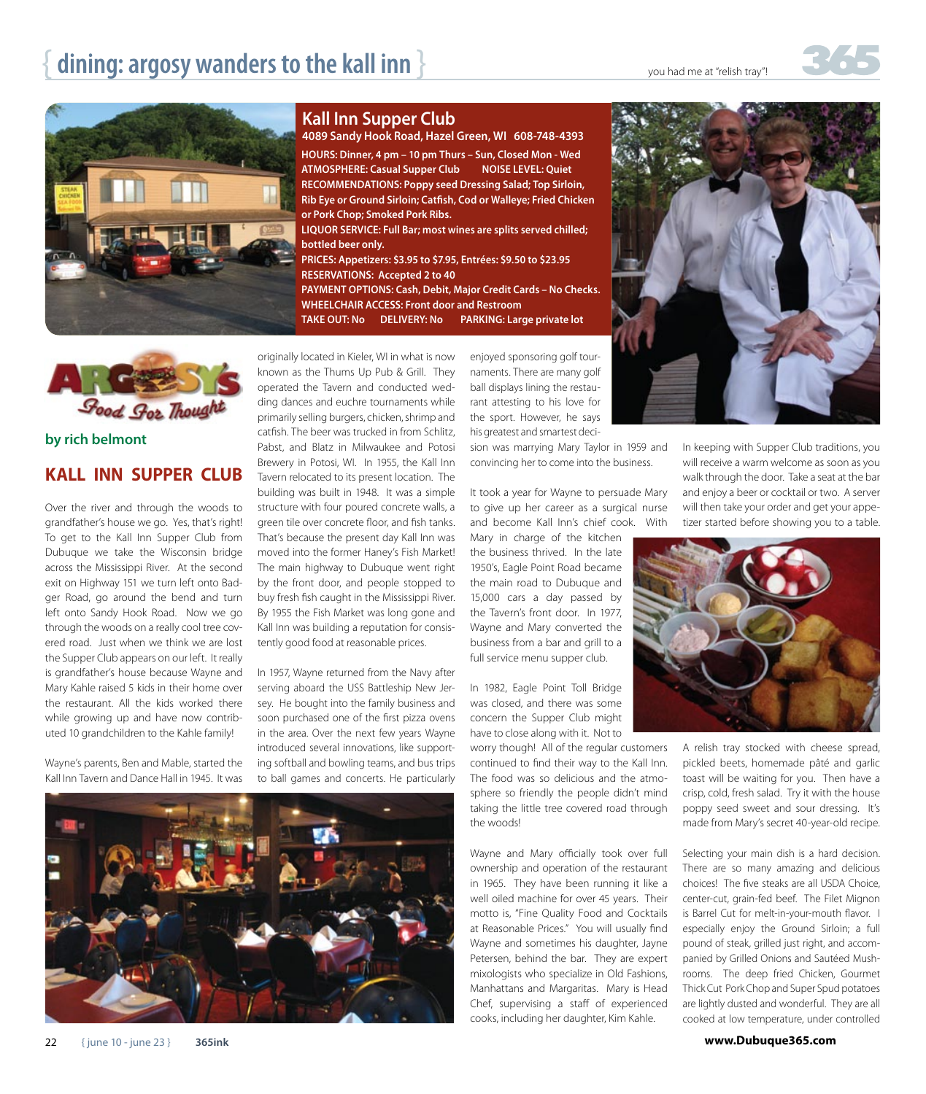



**by rich belmont**

### **KALL INN SUPPER CLUB**

Over the river and through the woods to grandfather's house we go. Yes, that's right! To get to the Kall Inn Supper Club from Dubuque we take the Wisconsin bridge across the Mississippi River. At the second exit on Highway 151 we turn left onto Badger Road, go around the bend and turn left onto Sandy Hook Road. Now we go through the woods on a really cool tree covered road. Just when we think we are lost the Supper Club appears on our left. It really is grandfather's house because Wayne and Mary Kahle raised 5 kids in their home over the restaurant. All the kids worked there while growing up and have now contributed 10 grandchildren to the Kahle family!

Wayne's parents, Ben and Mable, started the Kall Inn Tavern and Dance Hall in 1945. It was **Kall Inn Supper Club**

**HOURS: Dinner, 4 pm – 10 pm Thurs – Sun, Closed Mon - Wed ATMOSPHERE: Casual Supper Club NOISE LEVEL: Quiet RECOMMENDATIONS: Poppy seed Dressing Salad; Top Sirloin, Rib Eye or Ground Sirloin; Catfish, Cod or Walleye; Fried Chicken or Pork Chop; Smoked Pork Ribs. LIQUOR SERVICE: Full Bar; most wines are splits served chilled; bottled beer only. PRICES: Appetizers: \$3.95 to \$7.95, Entrées: \$9.50 to \$23.95 4089 Sandy Hook Road, Hazel Green, WI 608-748-4393**

**RESERVATIONS: Accepted 2 to 40 PAYMENT OPTIONS: Cash, Debit, Major Credit Cards – No Checks. WHEELCHAIR ACCESS: Front door and Restroom**

**TAKE OUT: No DELIVERY: No PARKING: Large private lot**

originally located in Kieler, WI in what is now known as the Thums Up Pub & Grill. They operated the Tavern and conducted wedding dances and euchre tournaments while primarily selling burgers, chicken, shrimp and catfish. The beer was trucked in from Schlitz, Pabst, and Blatz in Milwaukee and Potosi Brewery in Potosi, WI. In 1955, the Kall Inn Tavern relocated to its present location. The building was built in 1948. It was a simple structure with four poured concrete walls, a green tile over concrete floor, and fish tanks. That's because the present day Kall Inn was moved into the former Haney's Fish Market! The main highway to Dubuque went right by the front door, and people stopped to buy fresh fish caught in the Mississippi River. By 1955 the Fish Market was long gone and Kall Inn was building a reputation for consistently good food at reasonable prices.

In 1957, Wayne returned from the Navy after serving aboard the USS Battleship New Jersey. He bought into the family business and soon purchased one of the first pizza ovens in the area. Over the next few years Wayne introduced several innovations, like supporting softball and bowling teams, and bus trips to ball games and concerts. He particularly



enjoyed sponsoring golf tournaments. There are many golf ball displays lining the restaurant attesting to his love for the sport. However, he says his greatest and smartest deci-

sion was marrying Mary Taylor in 1959 and convincing her to come into the business.

It took a year for Wayne to persuade Mary to give up her career as a surgical nurse and become Kall Inn's chief cook. With

Mary in charge of the kitchen the business thrived. In the late 1950's, Eagle Point Road became the main road to Dubuque and 15,000 cars a day passed by the Tavern's front door. In 1977, Wayne and Mary converted the business from a bar and grill to a full service menu supper club.

In 1982, Eagle Point Toll Bridge was closed, and there was some concern the Supper Club might have to close along with it. Not to

worry though! All of the regular customers continued to find their way to the Kall Inn. The food was so delicious and the atmosphere so friendly the people didn't mind taking the little tree covered road through the woods!

Wayne and Mary officially took over full ownership and operation of the restaurant in 1965. They have been running it like a well oiled machine for over 45 years. Their motto is, "Fine Quality Food and Cocktails at Reasonable Prices." You will usually find Wayne and sometimes his daughter, Jayne Petersen, behind the bar. They are expert mixologists who specialize in Old Fashions, Manhattans and Margaritas. Mary is Head Chef, supervising a staff of experienced cooks, including her daughter, Kim Kahle.



In keeping with Supper Club traditions, you will receive a warm welcome as soon as you walk through the door. Take a seat at the bar and enjoy a beer or cocktail or two. A server will then take your order and get your appetizer started before showing you to a table.



A relish tray stocked with cheese spread, pickled beets, homemade pâté and garlic toast will be waiting for you. Then have a crisp, cold, fresh salad. Try it with the house poppy seed sweet and sour dressing. It's made from Mary's secret 40-year-old recipe.

Selecting your main dish is a hard decision. There are so many amazing and delicious choices! The five steaks are all USDA Choice, center-cut, grain-fed beef. The Filet Mignon is Barrel Cut for melt-in-your-mouth flavor. I especially enjoy the Ground Sirloin; a full pound of steak, grilled just right, and accompanied by Grilled Onions and Sautéed Mushrooms. The deep fried Chicken, Gourmet Thick Cut Pork Chop and Super Spud potatoes are lightly dusted and wonderful. They are all cooked at low temperature, under controlled